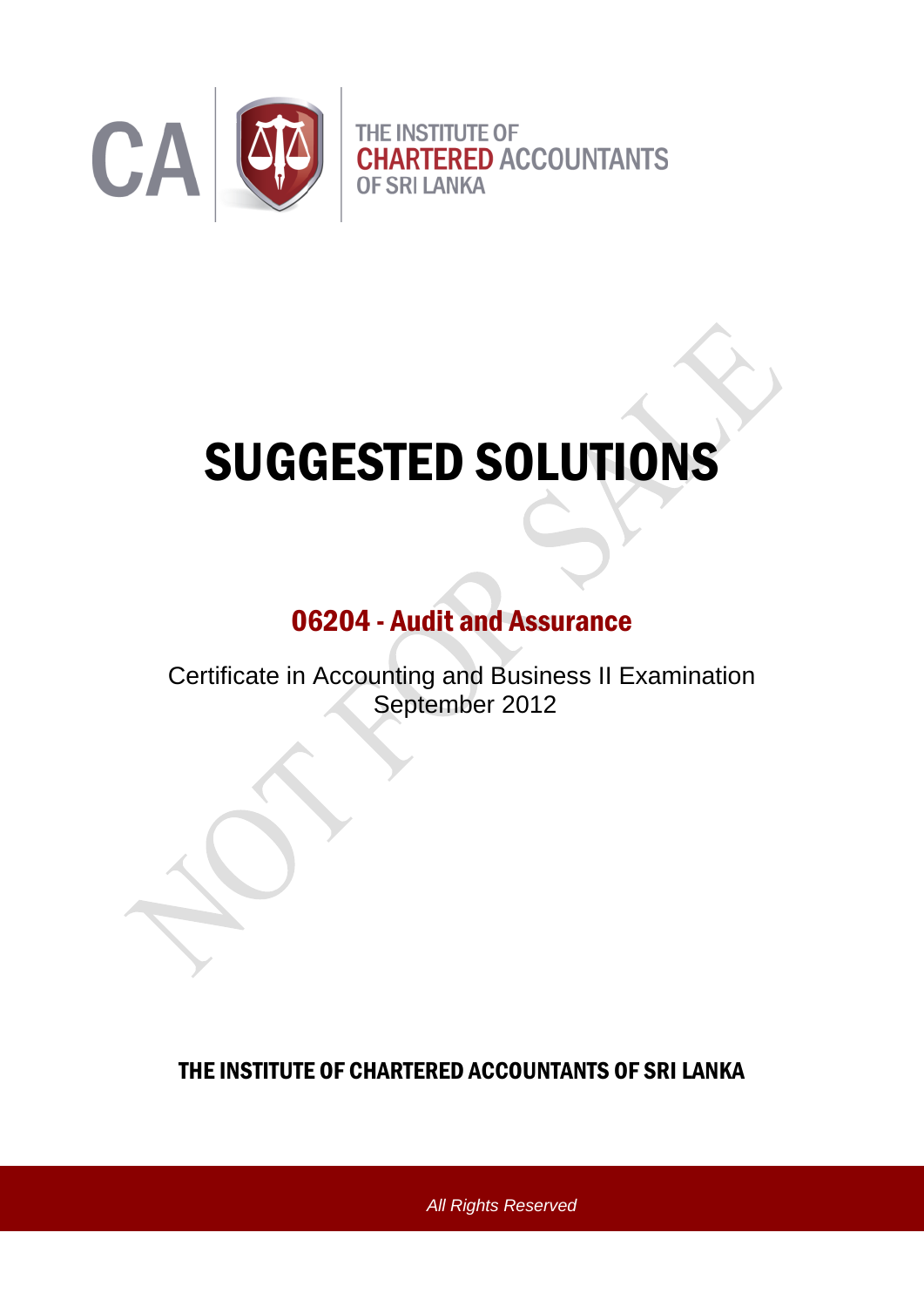

# SUGGESTED SOLUTIONS

# 06204 - Audit and Assurance

Certificate in Accounting and Business II Examination September 2012

THE INSTITUTE OF CHARTERED ACCOUNTANTS OF SRI LANKA

(1) *All Rights Reserved*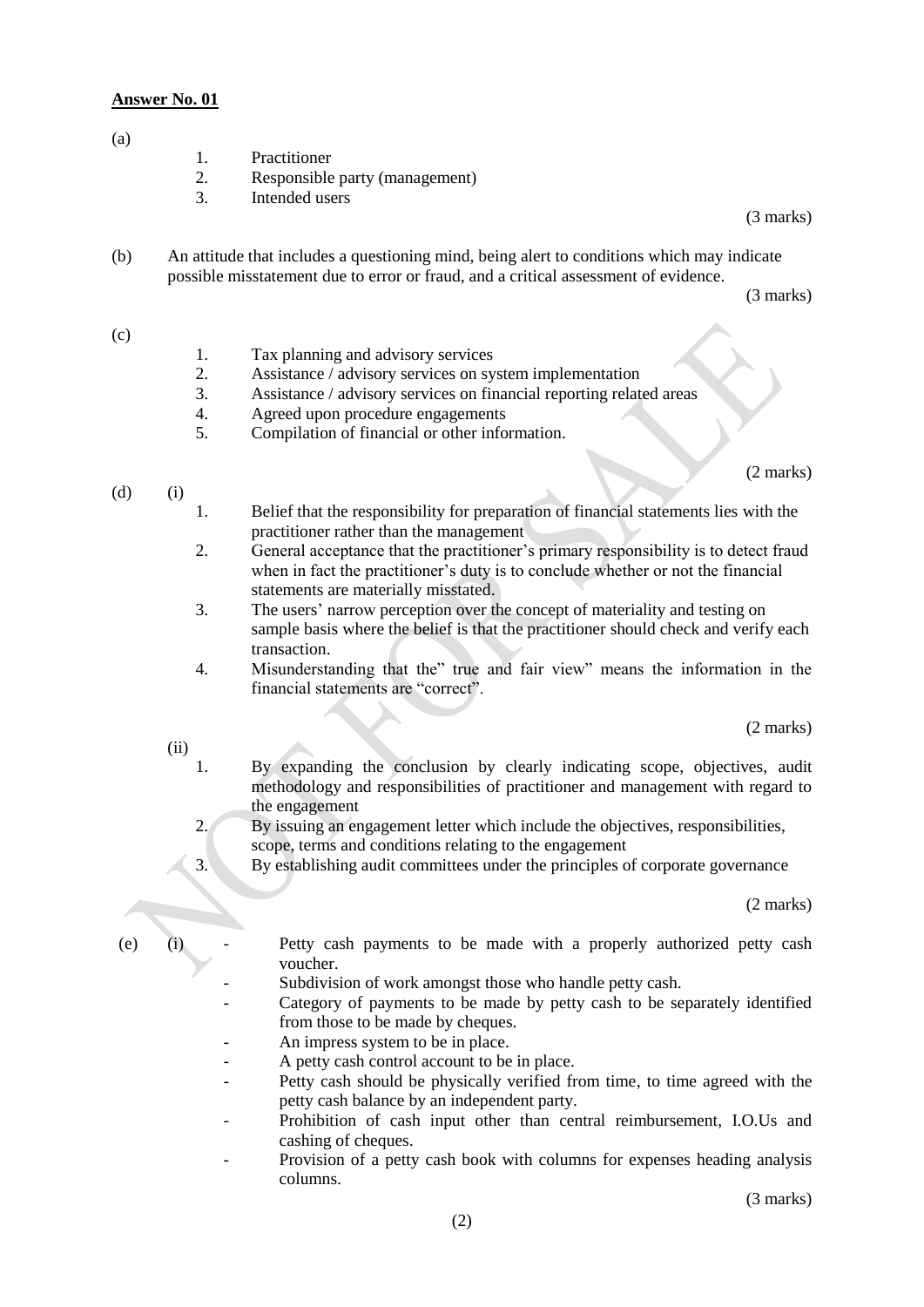#### (a)

- 1. Practitioner
- 2. Responsible party (management)
- 3. Intended users

(3 marks)

(b) An attitude that includes a questioning mind, being alert to conditions which may indicate possible misstatement due to error or fraud, and a critical assessment of evidence.

(3 marks)

(2 marks)

#### (c)

- 1. Tax planning and advisory services
- 2. Assistance / advisory services on system implementation
- 3. Assistance / advisory services on financial reporting related areas
- 4. Agreed upon procedure engagements
- 5. Compilation of financial or other information.

#### $(d)$  (i)

- 1. Belief that the responsibility for preparation of financial statements lies with the practitioner rather than the management
- 2. General acceptance that the practitioner's primary responsibility is to detect fraud when in fact the practitioner's duty is to conclude whether or not the financial statements are materially misstated.
- 3. The users' narrow perception over the concept of materiality and testing on sample basis where the belief is that the practitioner should check and verify each transaction.
- 4. Misunderstanding that the" true and fair view" means the information in the financial statements are "correct".

(2 marks)

- (ii)
	- 1. By expanding the conclusion by clearly indicating scope, objectives, audit methodology and responsibilities of practitioner and management with regard to the engagement
	- 2. By issuing an engagement letter which include the objectives, responsibilities, scope, terms and conditions relating to the engagement
	- 3. By establishing audit committees under the principles of corporate governance

(2 marks)

- (e) (i) Petty cash payments to be made with a properly authorized petty cash voucher.
	- Subdivision of work amongst those who handle petty cash.
	- Category of payments to be made by petty cash to be separately identified from those to be made by cheques.
	- An impress system to be in place.
	- A petty cash control account to be in place.
	- Petty cash should be physically verified from time, to time agreed with the petty cash balance by an independent party.
	- Prohibition of cash input other than central reimbursement, I.O.Us and cashing of cheques.
	- Provision of a petty cash book with columns for expenses heading analysis columns.

(3 marks)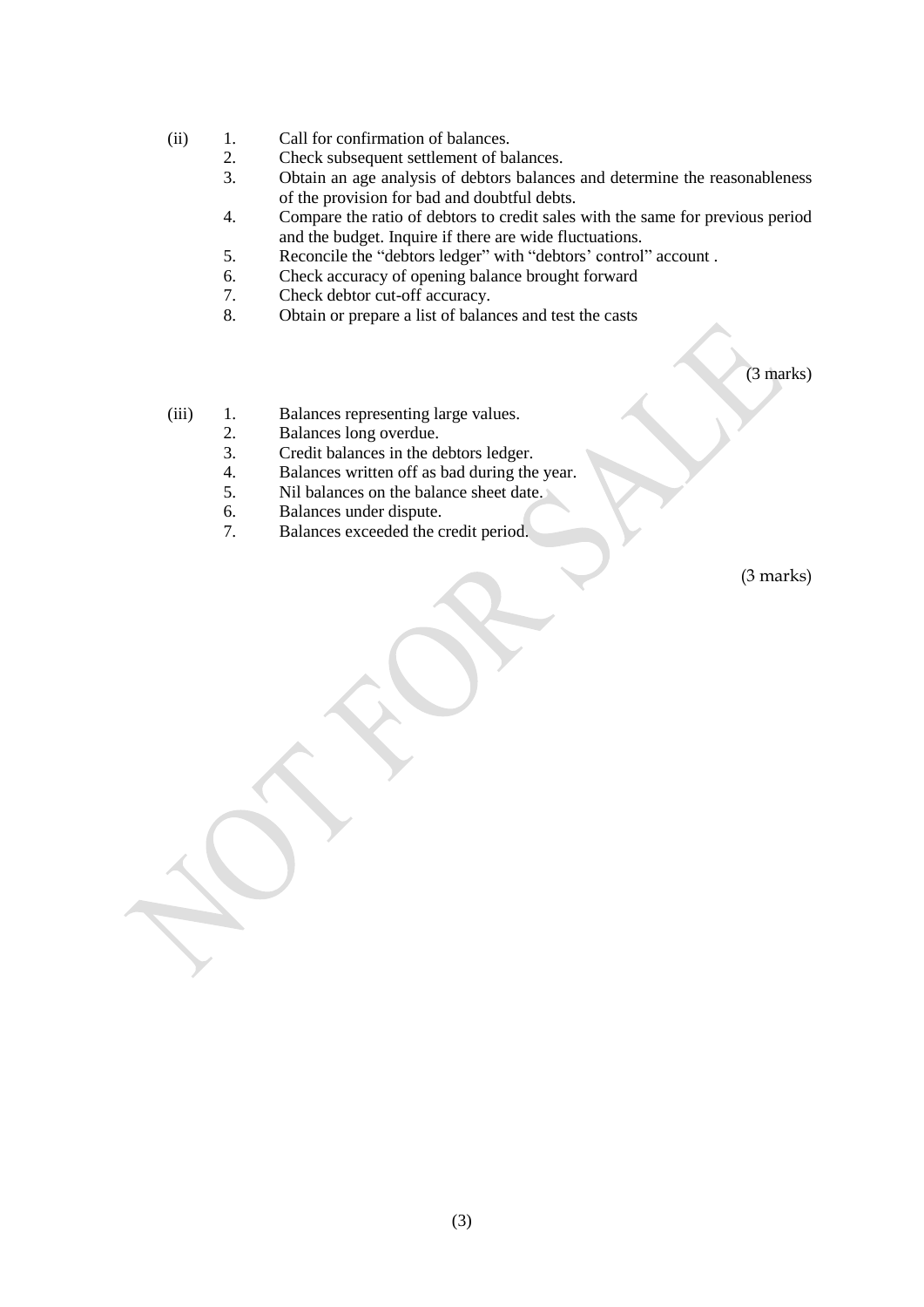- (ii) 1. Call for confirmation of balances.
	- 2. Check subsequent settlement of balances.
	- 3. Obtain an age analysis of debtors balances and determine the reasonableness of the provision for bad and doubtful debts.
	- 4. Compare the ratio of debtors to credit sales with the same for previous period and the budget. Inquire if there are wide fluctuations.
	- 5. Reconcile the "debtors ledger" with "debtors' control" account .
	- 6. Check accuracy of opening balance brought forward
	- 7. Check debtor cut-off accuracy.
	- 8. Obtain or prepare a list of balances and test the casts

(3 marks)

- (iii) 1. Balances representing large values.
	- 2. Balances long overdue.
	- 3. Credit balances in the debtors ledger.
	- 4. Balances written off as bad during the year.
	- 5. Nil balances on the balance sheet date.
	- 6. Balances under dispute.
	- 7. Balances exceeded the credit period.

(3 marks)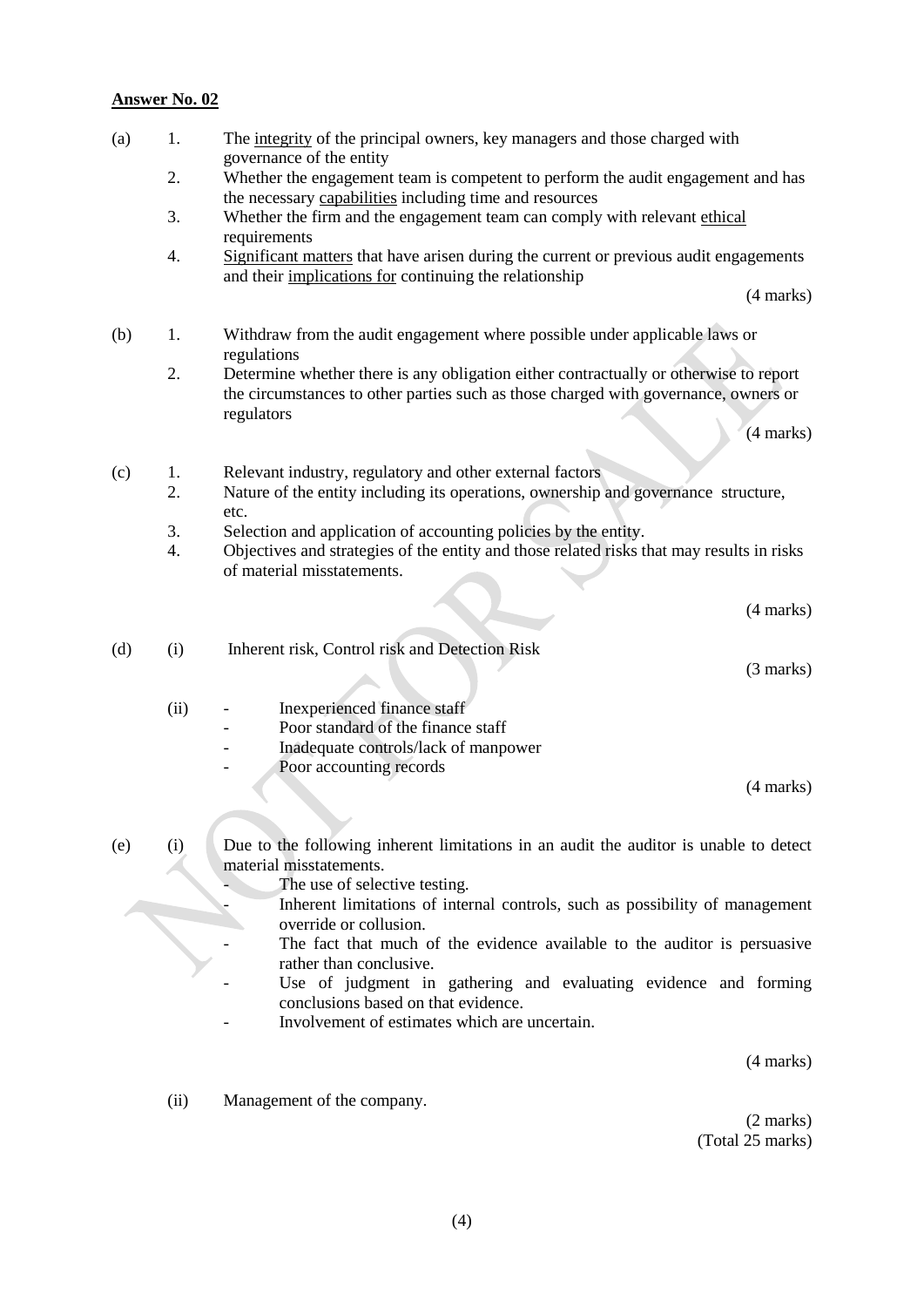- (a) 1. The integrity of the principal owners, key managers and those charged with governance of the entity
	- 2. Whether the engagement team is competent to perform the audit engagement and has the necessary capabilities including time and resources
	- 3. Whether the firm and the engagement team can comply with relevant ethical requirements
	- 4. Significant matters that have arisen during the current or previous audit engagements and their implications for continuing the relationship

(4 marks)

- (b) 1. Withdraw from the audit engagement where possible under applicable laws or regulations
	- 2. Determine whether there is any obligation either contractually or otherwise to report the circumstances to other parties such as those charged with governance, owners or regulators

(4 marks)

- (c) 1. Relevant industry, regulatory and other external factors
	- 2. Nature of the entity including its operations, ownership and governance structure, etc.
	- 3. Selection and application of accounting policies by the entity.
	- 4. Objectives and strategies of the entity and those related risks that may results in risks of material misstatements.

(4 marks)

| (d) |     | Inherent risk, Control risk and Detection Risk |                     |
|-----|-----|------------------------------------------------|---------------------|
|     |     |                                                | $(3 \text{ marks})$ |
|     | (i) | Inexperienced finance staff                    |                     |
|     |     | Poor standard of the finance staff             |                     |

- Inadequate controls/lack of manpower
	- Poor accounting records

(4 marks)

(e) (i) Due to the following inherent limitations in an audit the auditor is unable to detect material misstatements.

- The use of selective testing.
- Inherent limitations of internal controls, such as possibility of management override or collusion.
- The fact that much of the evidence available to the auditor is persuasive rather than conclusive.
- Use of judgment in gathering and evaluating evidence and forming conclusions based on that evidence.
- Involvement of estimates which are uncertain.

(4 marks)

(ii) Management of the company.

(2 marks) (Total 25 marks)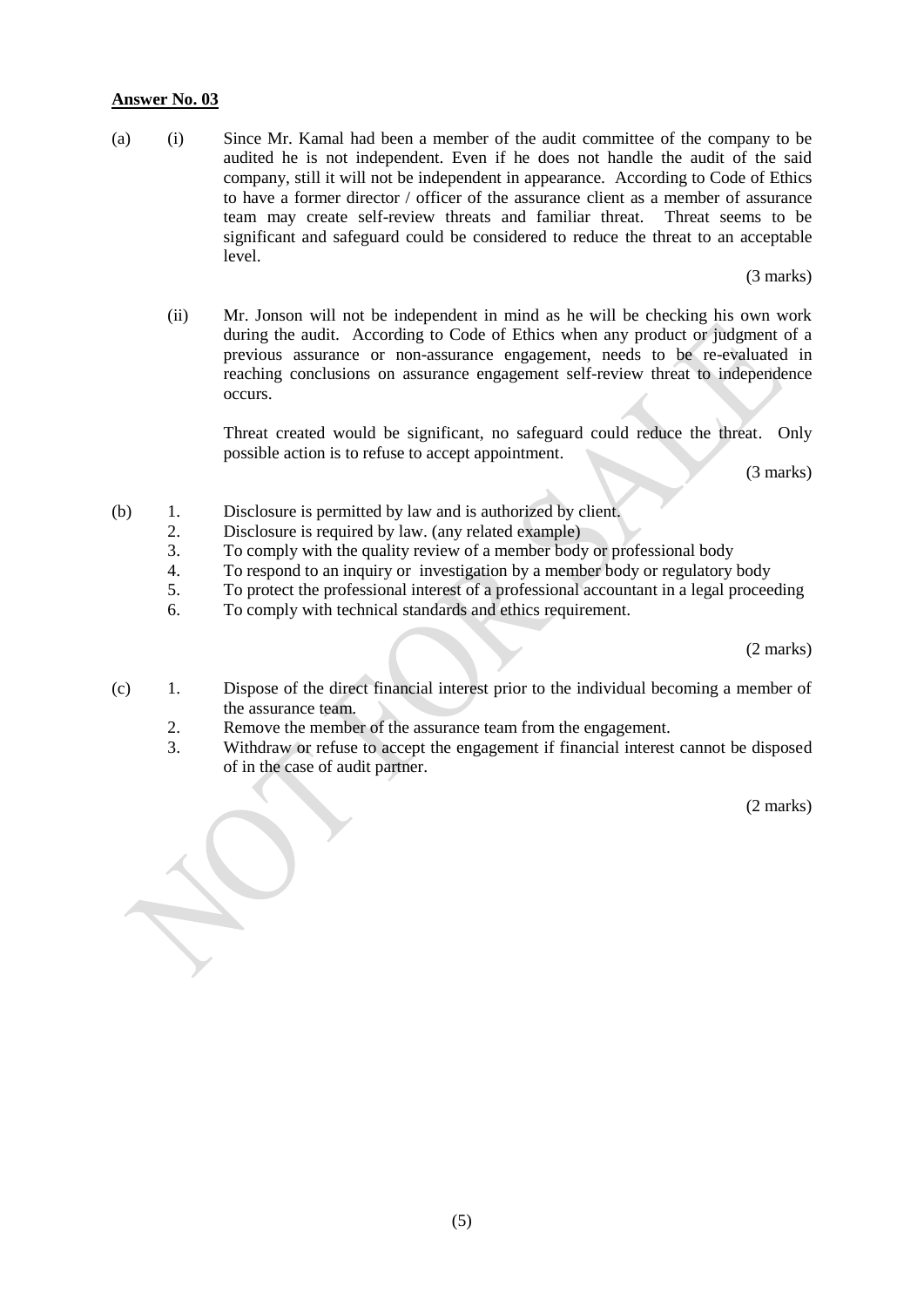(a) (i) Since Mr. Kamal had been a member of the audit committee of the company to be audited he is not independent. Even if he does not handle the audit of the said company, still it will not be independent in appearance. According to Code of Ethics to have a former director / officer of the assurance client as a member of assurance team may create self-review threats and familiar threat. Threat seems to be significant and safeguard could be considered to reduce the threat to an acceptable level.

(3 marks)

(ii) Mr. Jonson will not be independent in mind as he will be checking his own work during the audit. According to Code of Ethics when any product or judgment of a previous assurance or non-assurance engagement, needs to be re-evaluated in reaching conclusions on assurance engagement self-review threat to independence occurs.

Threat created would be significant, no safeguard could reduce the threat. Only possible action is to refuse to accept appointment.

(3 marks)

- (b) 1. Disclosure is permitted by law and is authorized by client.
	- 2. Disclosure is required by law. (any related example)
		- 3. To comply with the quality review of a member body or professional body
		- 4. To respond to an inquiry or investigation by a member body or regulatory body
		- 5. To protect the professional interest of a professional accountant in a legal proceeding
		- 6. To comply with technical standards and ethics requirement.

(2 marks)

- (c) 1. Dispose of the direct financial interest prior to the individual becoming a member of the assurance team.
	- 2. Remove the member of the assurance team from the engagement.
	- 3. Withdraw or refuse to accept the engagement if financial interest cannot be disposed of in the case of audit partner.

(2 marks)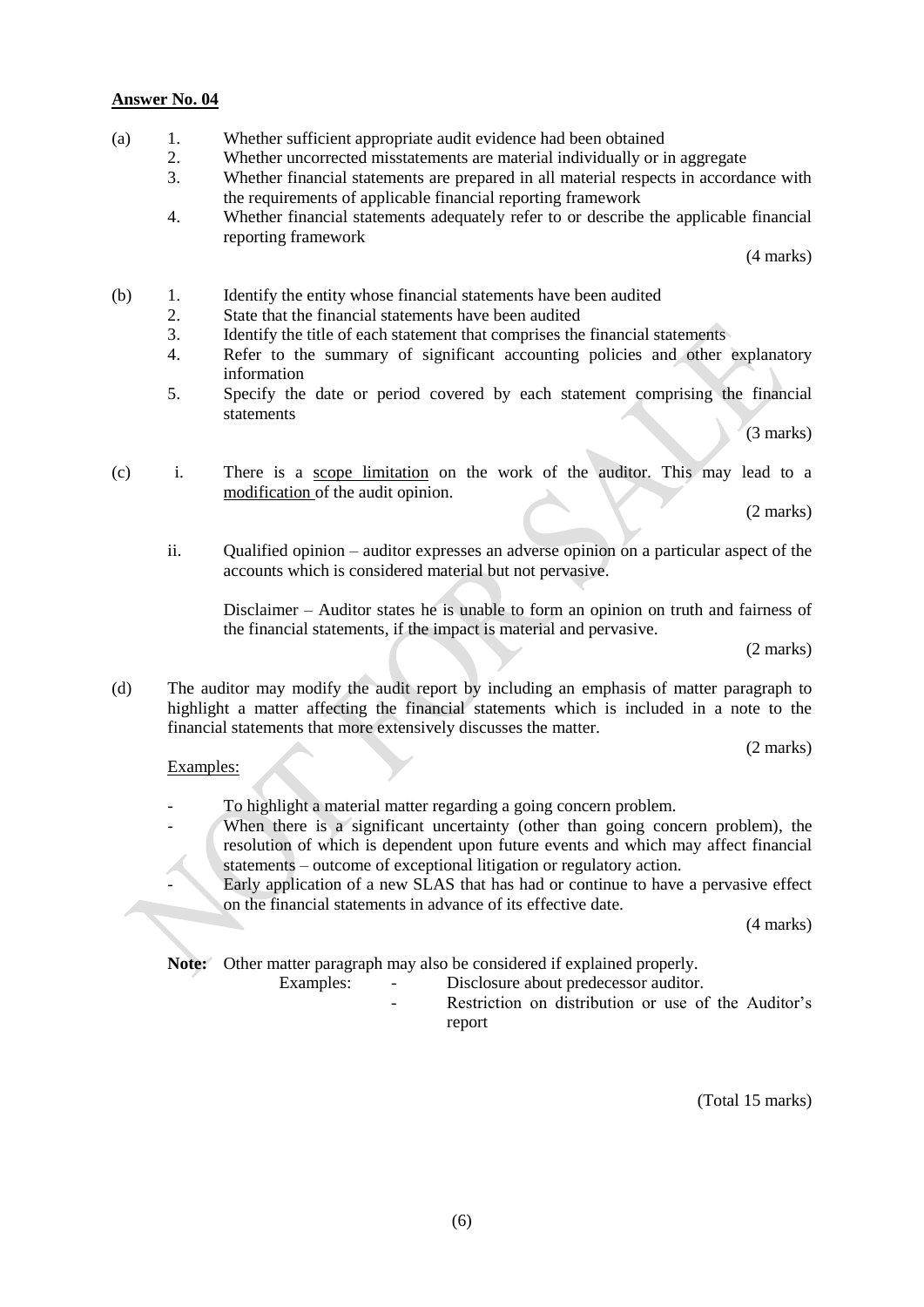- (a) 1. Whether sufficient appropriate audit evidence had been obtained
	- 2. Whether uncorrected misstatements are material individually or in aggregate
	- 3. Whether financial statements are prepared in all material respects in accordance with the requirements of applicable financial reporting framework
	- 4. Whether financial statements adequately refer to or describe the applicable financial reporting framework

(4 marks)

- (b) 1. Identify the entity whose financial statements have been audited
	- 2. State that the financial statements have been audited
	- 3. Identify the title of each statement that comprises the financial statements
	- 4. Refer to the summary of significant accounting policies and other explanatory information
	- 5. Specify the date or period covered by each statement comprising the financial statements

(3 marks)

(c) i. There is a scope limitation on the work of the auditor. This may lead to a modification of the audit opinion.

(2 marks)

ii. Qualified opinion – auditor expresses an adverse opinion on a particular aspect of the accounts which is considered material but not pervasive.

Disclaimer – Auditor states he is unable to form an opinion on truth and fairness of the financial statements, if the impact is material and pervasive.

(2 marks)

(d) The auditor may modify the audit report by including an emphasis of matter paragraph to highlight a matter affecting the financial statements which is included in a note to the financial statements that more extensively discusses the matter.

(2 marks)

Examples:

- To highlight a material matter regarding a going concern problem.
	- When there is a significant uncertainty (other than going concern problem), the resolution of which is dependent upon future events and which may affect financial statements – outcome of exceptional litigation or regulatory action.
		- Early application of a new SLAS that has had or continue to have a pervasive effect on the financial statements in advance of its effective date.

(4 marks)

**Note:** Other matter paragraph may also be considered if explained properly.

Examples: - Disclosure about predecessor auditor.

Restriction on distribution or use of the Auditor's report

(Total 15 marks)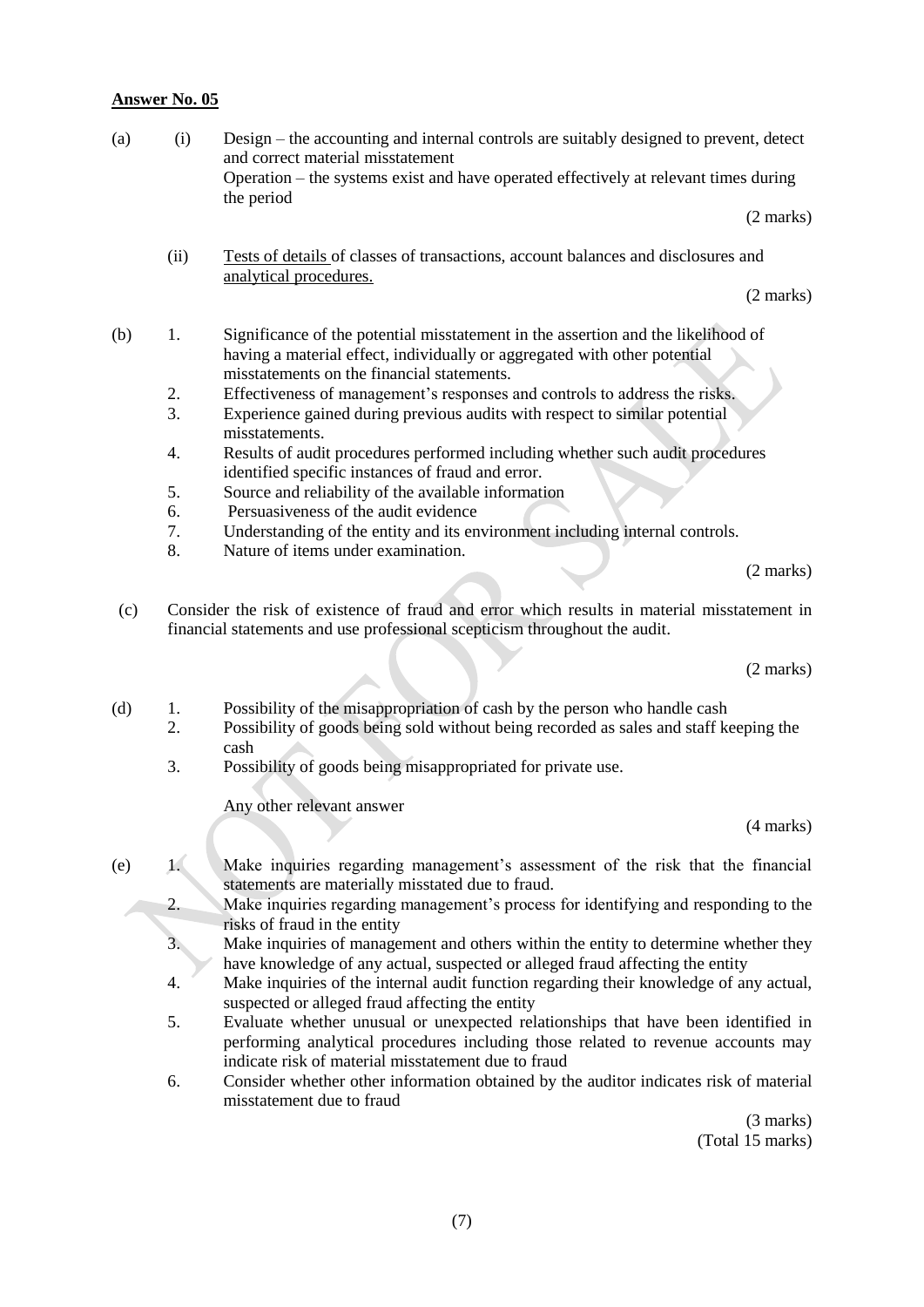(a) (i) Design – the accounting and internal controls are suitably designed to prevent, detect and correct material misstatement Operation – the systems exist and have operated effectively at relevant times during the period

(2 marks)

(ii) Tests of details of classes of transactions, account balances and disclosures and analytical procedures.

(2 marks)

- (b) 1. Significance of the potential misstatement in the assertion and the likelihood of having a material effect, individually or aggregated with other potential misstatements on the financial statements.
	- 2. Effectiveness of management's responses and controls to address the risks.
	- 3. Experience gained during previous audits with respect to similar potential misstatements.
	- 4. Results of audit procedures performed including whether such audit procedures identified specific instances of fraud and error.
	- 5. Source and reliability of the available information
	- 6. Persuasiveness of the audit evidence
	- 7. Understanding of the entity and its environment including internal controls.
	- 8. Nature of items under examination.

(2 marks)

(c) Consider the risk of existence of fraud and error which results in material misstatement in financial statements and use professional scepticism throughout the audit.

(2 marks)

- (d) 1. Possibility of the misappropriation of cash by the person who handle cash
	- 2. Possibility of goods being sold without being recorded as sales and staff keeping the cash
		- 3. Possibility of goods being misappropriated for private use.

Any other relevant answer

(4 marks)

- (e) 1. Make inquiries regarding management's assessment of the risk that the financial statements are materially misstated due to fraud.
	- 2. Make inquiries regarding management's process for identifying and responding to the risks of fraud in the entity
	- 3. Make inquiries of management and others within the entity to determine whether they have knowledge of any actual, suspected or alleged fraud affecting the entity
	- 4. Make inquiries of the internal audit function regarding their knowledge of any actual, suspected or alleged fraud affecting the entity
	- 5. Evaluate whether unusual or unexpected relationships that have been identified in performing analytical procedures including those related to revenue accounts may indicate risk of material misstatement due to fraud
	- 6. Consider whether other information obtained by the auditor indicates risk of material misstatement due to fraud

(3 marks) (Total 15 marks)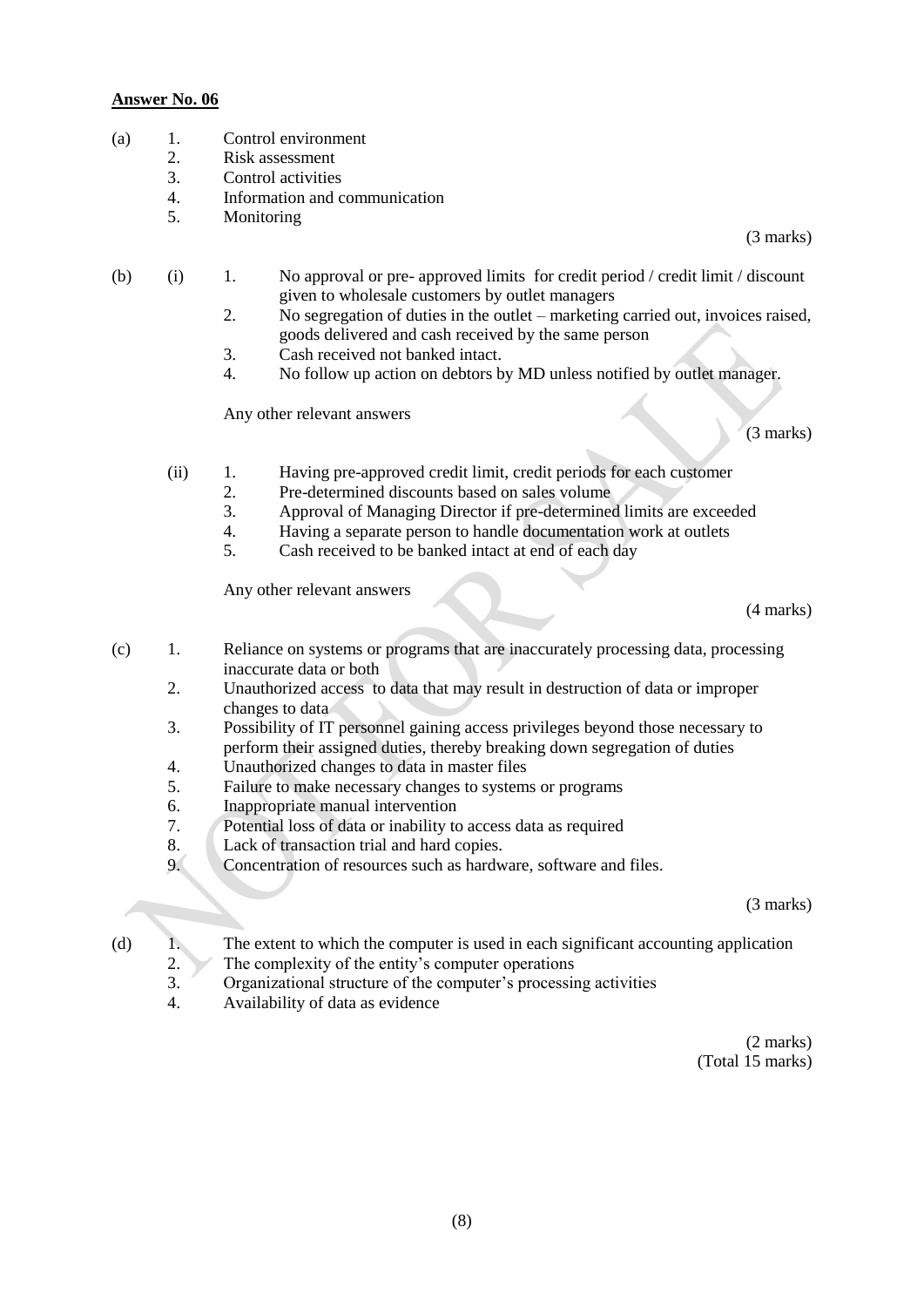- (a) 1. Control environment
	- 2. Risk assessment
	- 3. Control activities
	- 4. Information and communication<br>5. Monitoring
	- **Monitoring**

(3 marks)

- (b) (i) 1. No approval or pre- approved limits for credit period / credit limit / discount given to wholesale customers by outlet managers
	- 2. No segregation of duties in the outlet marketing carried out, invoices raised, goods delivered and cash received by the same person
	- 3. Cash received not banked intact.
	- 4. No follow up action on debtors by MD unless notified by outlet manager.

Any other relevant answers

(3 marks)

- (ii) 1. Having pre-approved credit limit, credit periods for each customer
	- 2. Pre-determined discounts based on sales volume
	- 3. Approval of Managing Director if pre-determined limits are exceeded
	- 4. Having a separate person to handle documentation work at outlets
	- 5. Cash received to be banked intact at end of each day

Any other relevant answers

(4 marks)

- (c) 1. Reliance on systems or programs that are inaccurately processing data, processing inaccurate data or both
	- 2. Unauthorized access to data that may result in destruction of data or improper changes to data
	- 3. Possibility of IT personnel gaining access privileges beyond those necessary to perform their assigned duties, thereby breaking down segregation of duties
	- 4. Unauthorized changes to data in master files
	- 5. Failure to make necessary changes to systems or programs
	- 6. Inappropriate manual intervention
	- 7. Potential loss of data or inability to access data as required<br>8. Lack of transaction trial and hard conjes.
	- Lack of transaction trial and hard copies.
	- 9. Concentration of resources such as hardware, software and files.

(3 marks)

- (d) 1. The extent to which the computer is used in each significant accounting application
	- 2. The complexity of the entity's computer operations<br>3. Organizational structure of the computer's processin
	- Organizational structure of the computer's processing activities
	- 4. Availability of data as evidence

(2 marks) (Total 15 marks)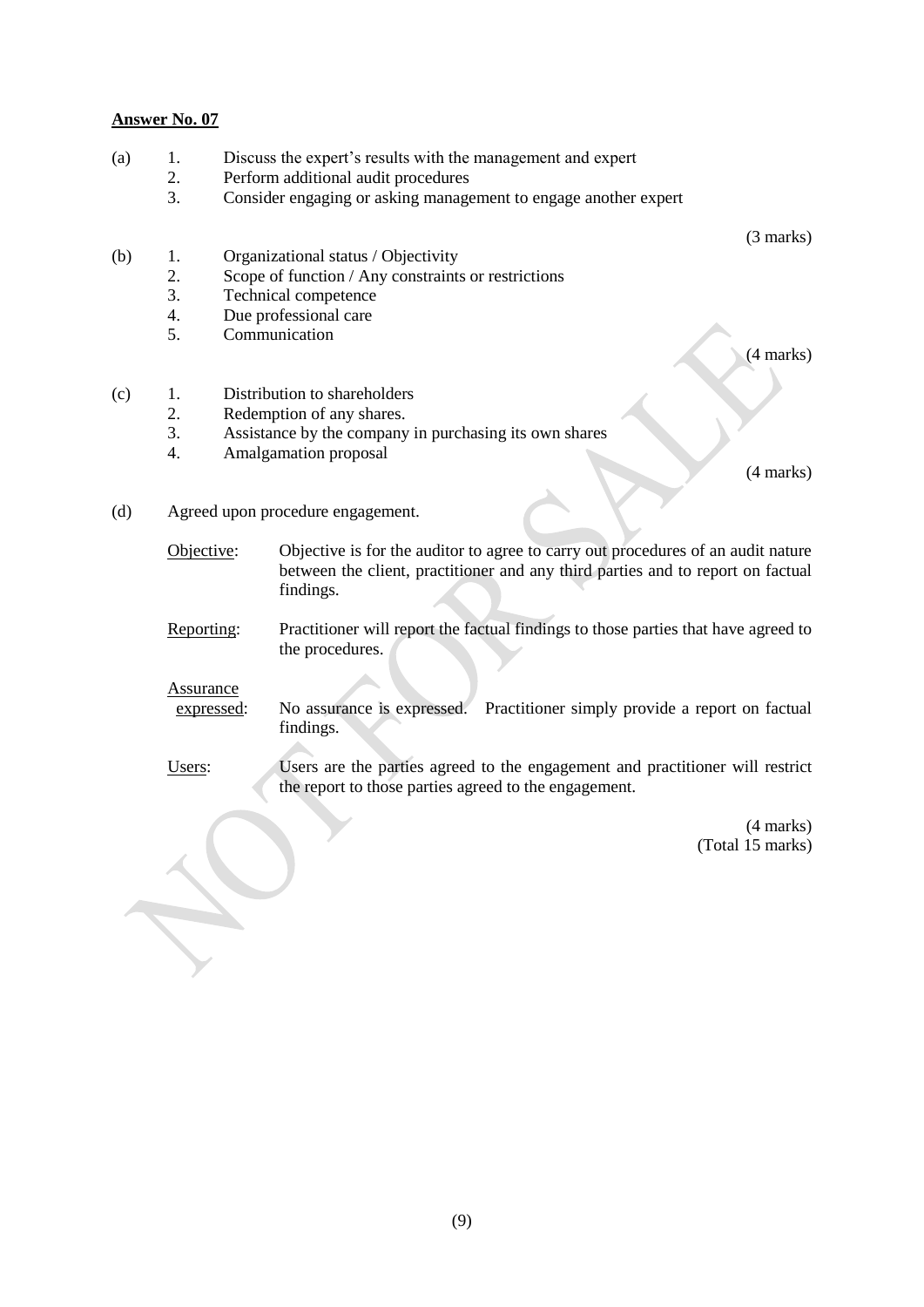- (a) 1. Discuss the expert's results with the management and expert
	- 2. Perform additional audit procedures
		- 3. Consider engaging or asking management to engage another expert

(3 marks)

(4 marks)

- (b) 1. Organizational status / Objectivity
	- 2. Scope of function / Any constraints or restrictions
	- 3. Technical competence
	- 4. Due professional care
	- 5. Communication

(c) 1. Distribution to shareholders

- 2. Redemption of any shares.<br>3. Assistance by the company
- Assistance by the company in purchasing its own shares
- 4. Amalgamation proposal

(4 marks)

- (d) Agreed upon procedure engagement.
	- Objective: Objective is for the auditor to agree to carry out procedures of an audit nature between the client, practitioner and any third parties and to report on factual findings.
	- Reporting: Practitioner will report the factual findings to those parties that have agreed to the procedures.

#### Assurance

- expressed: No assurance is expressed. Practitioner simply provide a report on factual findings.
- Users: Users are the parties agreed to the engagement and practitioner will restrict the report to those parties agreed to the engagement.

(4 marks) (Total 15 marks)